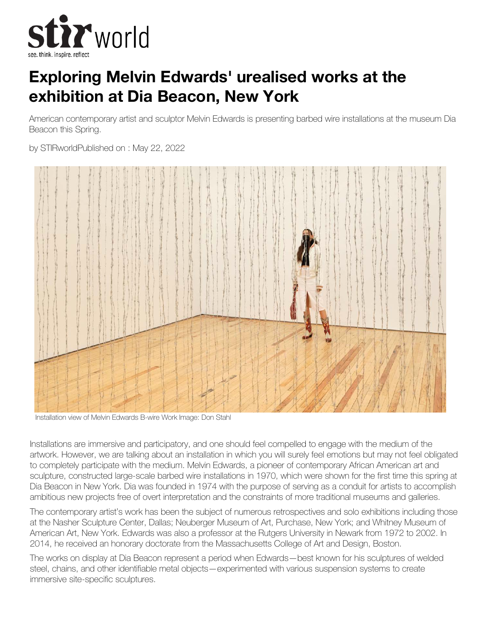

## **Exploring Melvin Edwards' urealised works at the exhibition at Dia Beacon, New York**

American contemporary artist and sculptor Melvin Edwards is presenting barbed wire installations at the museum Dia Beacon this Spring.

by STIRworldPublished on : May 22, 2022



Installation view of Melvin Edwards B-wire Work Image: Don Stahl

Installations are immersive and participatory, and one should feel compelled to engage with the medium of the artwork. However, we are talking about an installation in which you will surely feel emotions but may not feel obligated to completely participate with the medium. Melvin Edwards, a pioneer of contemporary African American art and sculpture, constructed large-scale barbed wire installations in 1970, which were shown for the first time this spring at Dia Beacon in New York. Dia was founded in 1974 with the purpose of serving as a conduit for artists to accomplish ambitious new projects free of overt interpretation and the constraints of more traditional museums and galleries.

The contemporary artist's work has been the subject of numerous retrospectives and solo exhibitions including those at the Nasher Sculpture Center, Dallas; Neuberger Museum of Art, Purchase, New York; and Whitney Museum of American Art, New York. Edwards was also a professor at the Rutgers University in Newark from 1972 to 2002. In 2014, he received an honorary doctorate from the Massachusetts College of Art and Design, Boston.

The works on display at Dia Beacon represent a period when Edwards—best known for his sculptures of welded steel, chains, and other identifiable metal objects—experimented with various suspension systems to create immersive site-specific sculptures.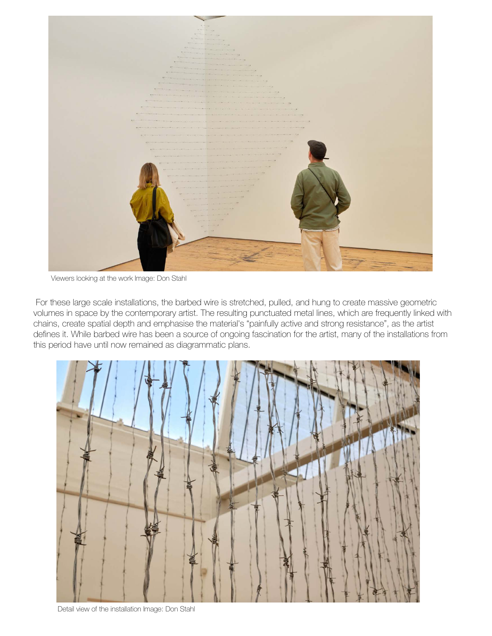

Viewers looking at the work Image: Don Stahl

 For these large scale installations, the barbed wire is stretched, pulled, and hung to create massive geometric volumes in space by the contemporary artist. The resulting punctuated metal lines, which are frequently linked with chains, create spatial depth and emphasise the material's "painfully active and strong resistance", as the artist defines it. While barbed wire has been a source of ongoing fascination for the artist, many of the installations from this period have until now remained as diagrammatic plans.



Detail view of the installation Image: Don Stahl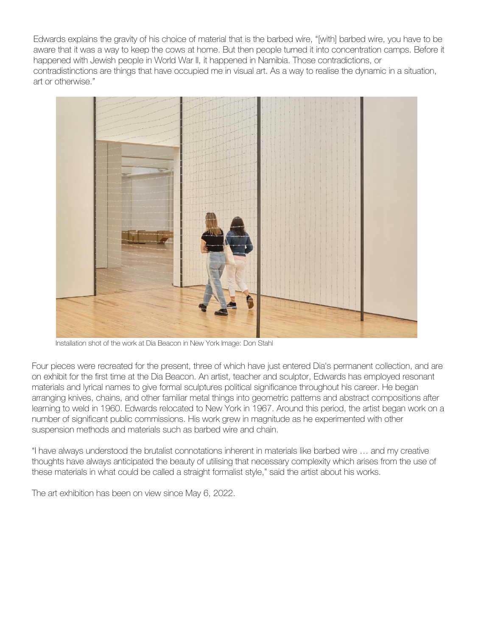Edwards explains the gravity of his choice of material that is the barbed wire, "[with] barbed wire, you have to be aware that it was a way to keep the cows at home. But then people turned it into concentration camps. Before it happened with Jewish people in World War II, it happened in Namibia. Those contradictions, or contradistinctions are things that have occupied me in visual art. As a way to realise the dynamic in a situation, art or otherwise."



Installation shot of the work at Dia Beacon in New York Image: Don Stahl

Four pieces were recreated for the present, three of which have just entered Dia's permanent collection, and are on exhibit for the first time at the Dia Beacon. An artist, teacher and sculptor, Edwards has employed resonant materials and lyrical names to give formal sculptures political significance throughout his career. He began arranging knives, chains, and other familiar metal things into geometric patterns and abstract compositions after learning to weld in 1960. Edwards relocated to New York in 1967. Around this period, the artist began work on a number of significant public commissions. His work grew in magnitude as he experimented with other suspension methods and materials such as barbed wire and chain.

"I have always understood the brutalist connotations inherent in materials like barbed wire … and my creative thoughts have always anticipated the beauty of utilising that necessary complexity which arises from the use of these materials in what could be called a straight formalist style," said the artist about his works.

The art exhibition has been on view since May 6, 2022.